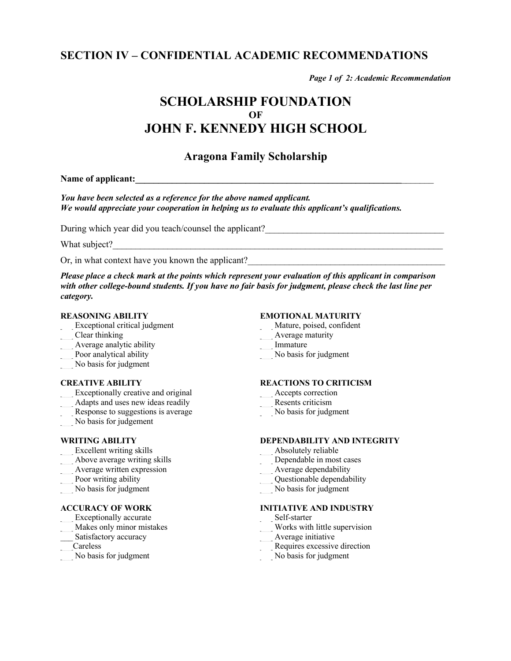## **SECTION IV – CONFIDENTIAL ACADEMIC RECOMMENDATIONS**

*Page 1 of 2: Academic Recommendation*

## **SCHOLARSHIP FOUNDATION OF JOHN F. KENNEDY HIGH SCHOOL**

### **Aragona Family Scholarship**

Name of applicant:

*You have been selected as a reference for the above named applicant. We would appreciate your cooperation in helping us to evaluate this applicant's qualifications.*

During which year did you teach/counsel the applicant?

What subject?

Or, in what context have you known the applicant?

*Please place a check mark at the points which represent your evaluation of this applicant in comparison* with other college-bound students. If you have no fair basis for judgment, please check the last line per *category.*

#### **REASONING ABILITY**

- Exceptional critical judgment
- \_\_\_ Clear thinking
- $\overline{\phantom{a}}$  Average analytic ability
- Poor analytical ability
- \_\_\_ No basis for judgment

#### **CREATIVE ABILITY**

- Exceptionally creative and original
- Adapts and uses new ideas readily
- Response to suggestions is average
- No basis for judgement

#### **WRITING ABILITY**

- Excellent writing skills
- \_\_\_ Above average writing skills
- Average written expression
- Poor writing ability
- \_\_\_ No basis for judgment

#### **ACCURACY OF WORK**

- Exceptionally accurate
- Makes only minor mistakes
- Satisfactory accuracy
- \_\_\_Careless
- \_\_\_ No basis for judgment

#### **EMOTIONAL MATURITY**

- \_\_\_ Mature, poised, confident
- \_\_\_ Average maturity
- \_\_\_ Immature
- No basis for judgment

#### **REACTIONS TO CRITICISM**

- Accepts correction
- \_\_\_ Resents criticism
- No basis for judgment

#### **DEPENDABILITY AND INTEGRITY**

- Absolutely reliable
- Dependable in most cases
- Average dependability
- \_\_\_ Questionable dependability
- $\overline{\phantom{a}}$  No basis for judgment
- 

### **INITIATIVE AND INDUSTRY**

- \_\_\_ Self-starter
- \_\_\_ Works with little supervision
- \_\_\_ Average initiative
- \_\_\_ Requires excessive direction
- No basis for judgment